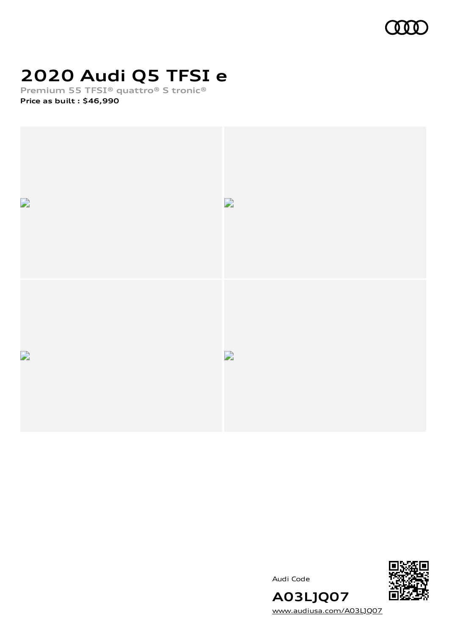

# **2020 Audi Q5 TFSI e**

**Premium 55 TFSI® quattro® S tronic®**

**Price as built [:](#page-7-0) \$46,990**



Audi Code



**A03LJQ07** [www.audiusa.com/A03LJQ07](https://www.audiusa.com/A03LJQ07)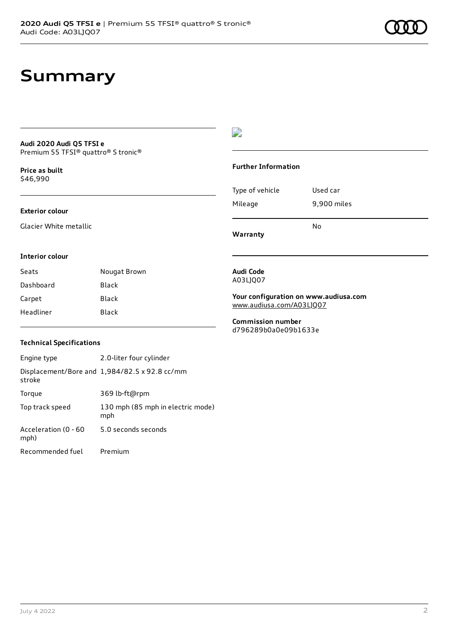# **Summary**

### **Audi 2020 Audi Q5 TFSI e** Premium 55 TFSI® quattro® S tronic®

**Price as buil[t](#page-7-0)** \$46,990

### **Exterior colour**

Glacier White metallic

## $\overline{\phantom{a}}$

### **Further Information**

Type of vehicle Used car Mileage 9,900 miles

**Warranty**

No

### **Interior colour**

Seats **Nougat Brown** Dashboard Black Carpet Black Headliner Black

#### **Audi Code** A03LJQ07

**Your configuration on www.audiusa.com** [www.audiusa.com/A03LJQ07](https://www.audiusa.com/A03LJQ07)

**Commission number** d796289b0a0e09b1633e

### **Technical Specifications**

| Engine type                  | 2.0-liter four cylinder                       |
|------------------------------|-----------------------------------------------|
| stroke                       | Displacement/Bore and 1,984/82.5 x 92.8 cc/mm |
| Torque                       | 369 lb-ft@rpm                                 |
| Top track speed              | 130 mph (85 mph in electric mode)<br>mph      |
| Acceleration (0 - 60<br>mph) | 5.0 seconds seconds                           |
| Recommended fuel             | Premium                                       |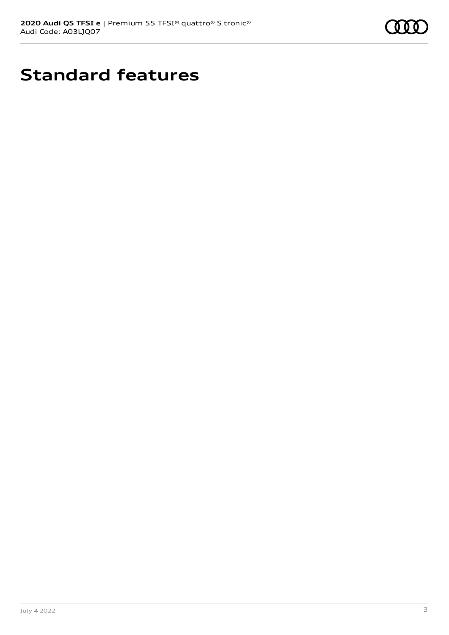

# **Standard features**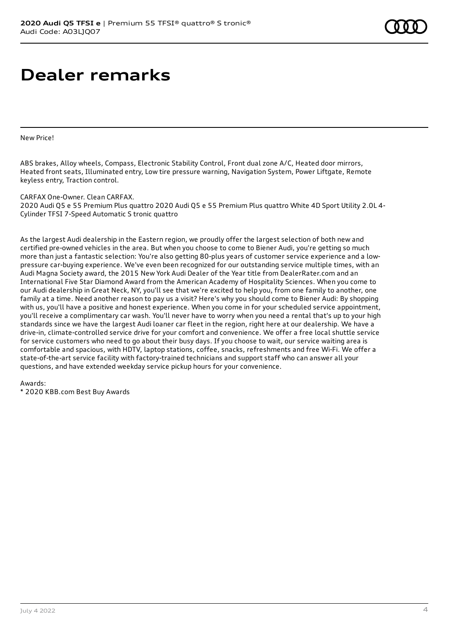# **Dealer remarks**

New Price!

ABS brakes, Alloy wheels, Compass, Electronic Stability Control, Front dual zone A/C, Heated door mirrors, Heated front seats, Illuminated entry, Low tire pressure warning, Navigation System, Power Liftgate, Remote keyless entry, Traction control.

#### CARFAX One-Owner. Clean CARFAX.

2020 Audi Q5 e 55 Premium Plus quattro 2020 Audi Q5 e 55 Premium Plus quattro White 4D Sport Utility 2.0L 4- Cylinder TFSI 7-Speed Automatic S tronic quattro

As the largest Audi dealership in the Eastern region, we proudly offer the largest selection of both new and certified pre-owned vehicles in the area. But when you choose to come to Biener Audi, you're getting so much more than just a fantastic selection: You're also getting 80-plus years of customer service experience and a lowpressure car-buying experience. We've even been recognized for our outstanding service multiple times, with an Audi Magna Society award, the 2015 New York Audi Dealer of the Year title from DealerRater.com and an International Five Star Diamond Award from the American Academy of Hospitality Sciences. When you come to our Audi dealership in Great Neck, NY, you'll see that we're excited to help you, from one family to another, one family at a time. Need another reason to pay us a visit? Here's why you should come to Biener Audi: By shopping with us, you'll have a positive and honest experience. When you come in for your scheduled service appointment, you'll receive a complimentary car wash. You'll never have to worry when you need a rental that's up to your high standards since we have the largest Audi loaner car fleet in the region, right here at our dealership. We have a drive-in, climate-controlled service drive for your comfort and convenience. We offer a free local shuttle service for service customers who need to go about their busy days. If you choose to wait, our service waiting area is comfortable and spacious, with HDTV, laptop stations, coffee, snacks, refreshments and free Wi-Fi. We offer a state-of-the-art service facility with factory-trained technicians and support staff who can answer all your questions, and have extended weekday service pickup hours for your convenience.

Awards:

\* 2020 KBB.com Best Buy Awards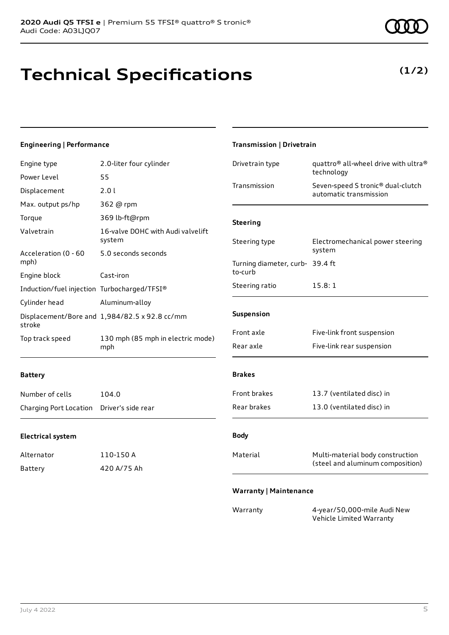**Technical Specifications**

### **Engineering | Performance**

| Engine type                                 | 2.0-liter four cylinder                       | Drivetrain type                 | quattro <sup>®</sup> all-wheel drive with ultra <sup>®</sup><br>technology |
|---------------------------------------------|-----------------------------------------------|---------------------------------|----------------------------------------------------------------------------|
| Power Level                                 | 55                                            |                                 |                                                                            |
| Displacement                                | 2.0 l                                         | Transmission                    | Seven-speed S tronic® dual-clutch<br>automatic transmission                |
| Max. output ps/hp                           | 362 @ rpm                                     |                                 |                                                                            |
| Torque                                      | 369 lb-ft@rpm                                 | <b>Steering</b>                 |                                                                            |
| Valvetrain                                  | 16-valve DOHC with Audi valvelift<br>system   | Steering type                   | Electromechanical power steering                                           |
| Acceleration (0 - 60                        | 5.0 seconds seconds                           |                                 | system                                                                     |
| mph)                                        |                                               | Turning diameter, curb- 39.4 ft |                                                                            |
| Engine block                                | Cast-iron                                     | to-curb                         |                                                                            |
| Induction/fuel injection Turbocharged/TFSI® |                                               | Steering ratio                  | 15.8:1                                                                     |
| Cylinder head                               | Aluminum-alloy                                |                                 |                                                                            |
| stroke                                      | Displacement/Bore and 1,984/82.5 x 92.8 cc/mm | Suspension                      |                                                                            |
| Top track speed                             | 130 mph (85 mph in electric mode)             | Front axle                      | Five-link front suspension                                                 |
|                                             | mph                                           | Rear axle                       | Five-link rear suspension                                                  |
| <b>Battery</b>                              |                                               | <b>Brakes</b>                   |                                                                            |
| Number of cells                             | 104.0                                         | Front brakes                    | 13.7 (ventilated disc) in                                                  |
| Charging Port Location                      | Driver's side rear                            | Rear brakes                     | 13.0 (ventilated disc) in                                                  |
| <b>Electrical system</b>                    |                                               | <b>Body</b>                     |                                                                            |
| Alternator                                  | 110-150 A                                     | Material                        | Multi-material body construction                                           |
| <b>Battery</b>                              | 420 A/75 Ah                                   |                                 | (steel and aluminum composition)                                           |
|                                             |                                               | <b>Warranty   Maintenance</b>   |                                                                            |
|                                             |                                               | Warranty                        | 4-year/50,000-mile Audi New<br>Vehicle Limited Warranty                    |

**Transmission | Drivetrain**

**(1/2)**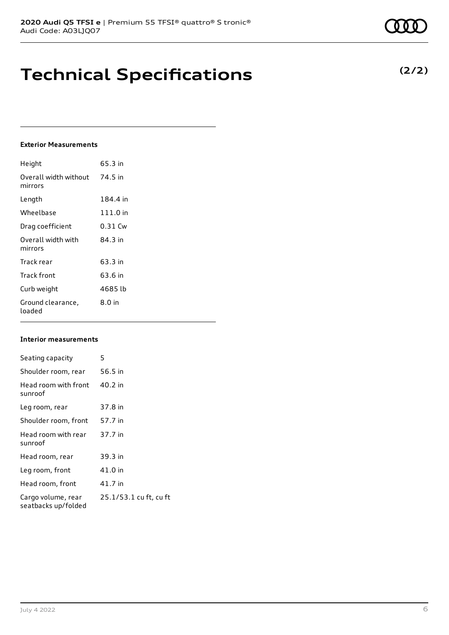# **Technical Specifications**

### **Exterior Measurements**

| Height                           | 65.3 in  |
|----------------------------------|----------|
| Overall width without<br>mirrors | 74.5 in  |
| Length                           | 184.4 in |
| Wheelbase                        | 111.0 in |
| Drag coefficient                 | 0.31 Cw  |
| Overall width with<br>mirrors    | 84.3 in  |
| Track rear                       | 63.3 in  |
| Track front                      | 63.6 in  |
| Curb weight                      | 4685 lb  |
| Ground clearance,<br>loaded      | $8.0$ in |

### **Interior measurements**

| Seating capacity                          | 5                      |
|-------------------------------------------|------------------------|
| Shoulder room, rear                       | 56.5 in                |
| Head room with front<br>sunroof           | 40.2 in                |
| Leg room, rear                            | 37.8 in                |
| Shoulder room, front                      | 57.7 in                |
| Head room with rear<br>sunroof            | 37.7 in                |
| Head room, rear                           | 39.3 in                |
| Leg room, front                           | 41.0 in                |
| Head room, front                          | 41.7 in                |
| Cargo volume, rear<br>seatbacks up/folded | 25.1/53.1 cu ft, cu ft |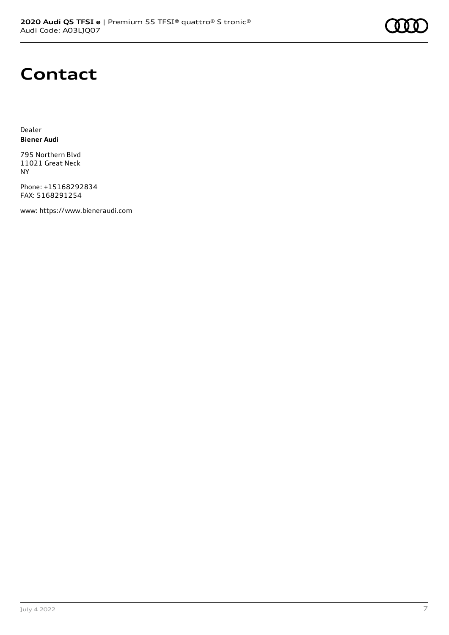

## **Contact**

Dealer **Biener Audi**

795 Northern Blvd 11021 Great Neck NY

Phone: +15168292834 FAX: 5168291254

www: [https://www.bieneraudi.com](https://www.bieneraudi.com/)